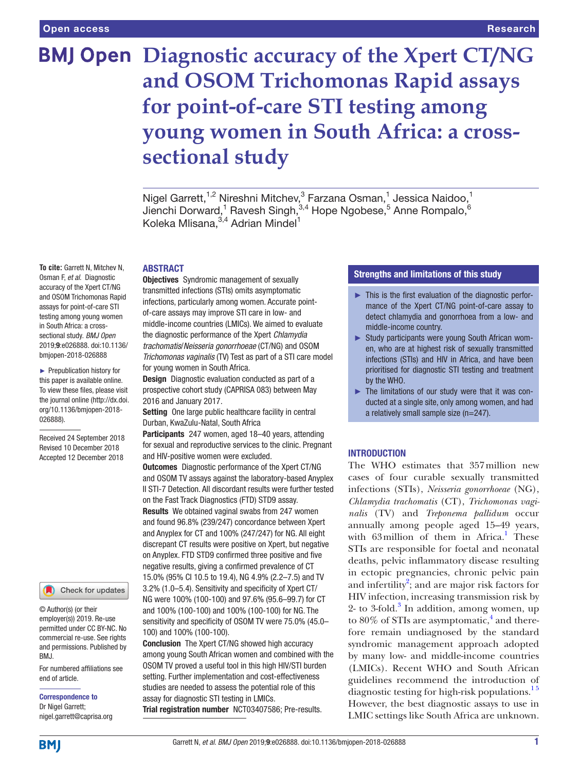# **BMJ Open Diagnostic accuracy of the Xpert CT/NG and OSOM Trichomonas Rapid assays for point-of-care STI testing among young women in South Africa: a crosssectional study**

Nigel Garrett,<sup>1,2</sup> Nireshni Mitchev,<sup>3</sup> Farzana Osman,<sup>1</sup> Jessica Naidoo,<sup>1</sup> Jienchi Dorward, $^1$  Ravesh Singh, $^{3,4}$  Hope Ngobese, $^5$  Anne Rompalo, $^6$ Koleka Mlisana, 3,4 Adrian Mindel<sup>1</sup>

**ABSTRACT** 

**To cite:** Garrett N, Mitchev N, Osman F, *et al*. Diagnostic accuracy of the Xpert CT/NG and OSOM Trichomonas Rapid assays for point-of-care STI testing among young women in South Africa: a crosssectional study. *BMJ Open* 2019;9:e026888. doi:10.1136/ bmjopen-2018-026888

► Prepublication history for this paper is available online. To view these files, please visit the journal online [\(http://dx.doi.](http://dx.doi.org/10.1136/bmjopen-2018-026888) [org/10.1136/bmjopen-2018-](http://dx.doi.org/10.1136/bmjopen-2018-026888) [026888\)](http://dx.doi.org/10.1136/bmjopen-2018-026888).

Received 24 September 2018 Revised 10 December 2018 Accepted 12 December 2018



© Author(s) (or their employer(s)) 2019. Re-use permitted under CC BY-NC. No commercial re-use. See rights and permissions. Published by BMJ.

For numbered affiliations see end of article.

Correspondence to Dr Nigel Garrett; nigel.garrett@caprisa.org **Objectives** Syndromic management of sexually transmitted infections (STIs) omits asymptomatic infections, particularly among women. Accurate pointof-care assays may improve STI care in low- and middle-income countries (LMICs). We aimed to evaluate the diagnostic performance of the Xpert *Chlamydia trachomatis*/*Neisseria gonorrhoeae* (CT/NG) and OSOM *Trichomonas vaginalis* (TV) Test as part of a STI care model for young women in South Africa.

**Design** Diagnostic evaluation conducted as part of a prospective cohort study (CAPRISA 083) between May 2016 and January 2017.

Setting One large public healthcare facility in central Durban, KwaZulu-Natal, South Africa

Participants 247 women, aged 18-40 years, attending for sexual and reproductive services to the clinic. Pregnant and HIV-positive women were excluded.

Outcomes Diagnostic performance of the Xpert CT/NG and OSOM TV assays against the laboratory-based Anyplex II STI-7 Detection. All discordant results were further tested on the Fast Track Diagnostics (FTD) STD9 assay. Results We obtained vaginal swabs from 247 women and found 96.8% (239/247) concordance between Xpert and Anyplex for CT and 100% (247/247) for NG. All eight discrepant CT results were positive on Xpert, but negative on Anyplex. FTD STD9 confirmed three positive and five negative results, giving a confirmed prevalence of CT 15.0% (95% CI 10.5 to 19.4), NG 4.9% (2.2–7.5) and TV 3.2% (1.0–5.4). Sensitivity and specificity of Xpert CT/ NG were 100% (100-100) and 97.6% (95.6–99.7) for CT and 100% (100-100) and 100% (100-100) for NG. The sensitivity and specificity of OSOM TV were 75.0% (45.0– 100) and 100% (100-100).

Conclusion The Xpert CT/NG showed high accuracy among young South African women and combined with the OSOM TV proved a useful tool in this high HIV/STI burden setting. Further implementation and cost-effectiveness studies are needed to assess the potential role of this assay for diagnostic STI testing in LMICs. Trial registration number <NCT03407586>; Pre-results.

# Strengths and limitations of this study

- ► This is the first evaluation of the diagnostic performance of the Xpert CT/NG point-of-care assay to detect chlamydia and gonorrhoea from a low- and middle-income country.
- ► Study participants were young South African women, who are at highest risk of sexually transmitted infections (STIs) and HIV in Africa, and have been prioritised for diagnostic STI testing and treatment by the WHO.
- ► The limitations of our study were that it was conducted at a single site, only among women, and had a relatively small sample size (n=247).

# **INTRODUCTION**

The WHO estimates that 357million new cases of four curable sexually transmitted infections (STIs), *Neisseria gonorrhoeae* (NG), *Chlamydia trachomatis* (CT), *Trichomonas vaginalis* (TV) and *Treponema pallidum* occur annually among people aged 15–49 years, with 63 million of them in Africa.<sup>[1](#page-4-0)</sup> These STIs are responsible for foetal and neonatal deaths, pelvic inflammatory disease resulting in ectopic pregnancies, chronic pelvic pain and infertility<sup>[2](#page-4-1)</sup>; and are major risk factors for HIV infection, increasing transmission risk by 2- to 3-fold.<sup>3</sup> In addition, among women, up to 80% of STIs are asymptomatic,<sup>[4](#page-4-3)</sup> and therefore remain undiagnosed by the standard syndromic management approach adopted by many low- and middle-income countries (LMICs). Recent WHO and South African guidelines recommend the introduction of diagnostic testing for high-risk populations.<sup>15</sup> However, the best diagnostic assays to use in LMIC settings like South Africa are unknown.

**BMI**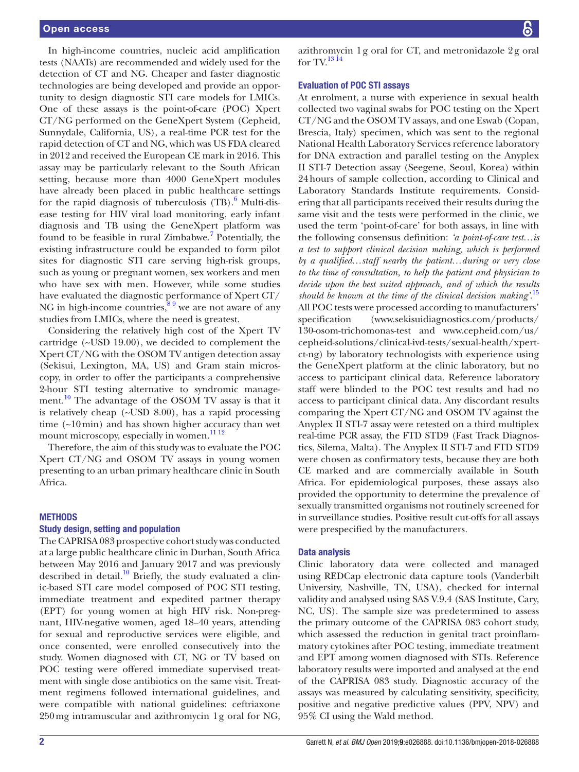In high-income countries, nucleic acid amplification tests (NAATs) are recommended and widely used for the detection of CT and NG. Cheaper and faster diagnostic technologies are being developed and provide an opportunity to design diagnostic STI care models for LMICs. One of these assays is the point-of-care (POC) Xpert CT/NG performed on the GeneXpert System (Cepheid, Sunnydale, California, US), a real-time PCR test for the rapid detection of CT and NG, which was US FDA cleared in 2012 and received the European CE mark in 2016. This assay may be particularly relevant to the South African setting, because more than 4000 GeneXpert modules have already been placed in public healthcare settings for the rapid diagnosis of tuberculosis (TB).<sup>[6](#page-4-4)</sup> Multi-disease testing for HIV viral load monitoring, early infant diagnosis and TB using the GeneXpert platform was found to be feasible in rural Zimbabwe.<sup>7</sup> Potentially, the existing infrastructure could be expanded to form pilot sites for diagnostic STI care serving high-risk groups, such as young or pregnant women, sex workers and men who have sex with men. However, while some studies have evaluated the diagnostic performance of Xpert CT/ NG in high-income countries, $8<sup>9</sup>$  we are not aware of any studies from LMICs, where the need is greatest.

Considering the relatively high cost of the Xpert TV cartridge (~USD 19.00), we decided to complement the Xpert CT/NG with the OSOM TV antigen detection assay (Sekisui, Lexington, MA, US) and Gram stain microscopy, in order to offer the participants a comprehensive 2-hour STI testing alternative to syndromic management.<sup>10</sup> The advantage of the OSOM TV assay is that it is relatively cheap (~USD 8.00), has a rapid processing time (~10min) and has shown higher accuracy than wet mount microscopy, especially in women.<sup>[11 12](#page-4-8)</sup>

Therefore, the aim of this study was to evaluate the POC Xpert CT/NG and OSOM TV assays in young women presenting to an urban primary healthcare clinic in South Africa.

#### **METHODS**

#### Study design, setting and population

The CAPRISA 083 prospective cohort study was conducted at a large public healthcare clinic in Durban, South Africa between May 2016 and January 2017 and was previously described in detail.<sup>[10](#page-4-7)</sup> Briefly, the study evaluated a clinic-based STI care model composed of POC STI testing, immediate treatment and expedited partner therapy (EPT) for young women at high HIV risk. Non-pregnant, HIV-negative women, aged 18–40 years, attending for sexual and reproductive services were eligible, and once consented, were enrolled consecutively into the study. Women diagnosed with CT, NG or TV based on POC testing were offered immediate supervised treatment with single dose antibiotics on the same visit. Treatment regimens followed international guidelines, and were compatible with national guidelines: ceftriaxone 250mg intramuscular and azithromycin 1g oral for NG,

azithromycin 1g oral for CT, and metronidazole 2g oral for  $TV<sup>1314</sup>$ 

### Evaluation of POC STI assays

At enrolment, a nurse with experience in sexual health collected two vaginal swabs for POC testing on the Xpert CT/NG and the OSOM TV assays, and one Eswab (Copan, Brescia, Italy) specimen, which was sent to the regional National Health Laboratory Services reference laboratory for DNA extraction and parallel testing on the Anyplex II STI-7 Detection assay (Seegene, Seoul, Korea) within 24hours of sample collection, according to Clinical and Laboratory Standards Institute requirements. Considering that all participants received their results during the same visit and the tests were performed in the clinic, we used the term 'point-of-care' for both assays, in line with the following consensus definition: *'a point-of-care test…is a test to support clinical decision making, which is performed by a qualified…staff nearby the patient…during or very close to the time of consultation, to help the patient and physician to decide upon the best suited approach, and of which the results should be known at the time of the clinical decision making'*. [15](#page-4-10) All POC tests were processed according to manufacturers' specification [\(www.sekisuidiagnostics.com/products/](www.sekisuidiagnostics.com/products/130-osom-trichomonas-test) [130-osom-trichomonas-test](www.sekisuidiagnostics.com/products/130-osom-trichomonas-test) and [www.cepheid.com/us/](www.cepheid.com/us/cepheid-solutions/clinical-ivd-tests/sexual-health/xpert-ct-ng) [cepheid-solutions/clinical-ivd-tests/sexual-health/xpert](www.cepheid.com/us/cepheid-solutions/clinical-ivd-tests/sexual-health/xpert-ct-ng)[ct-ng](www.cepheid.com/us/cepheid-solutions/clinical-ivd-tests/sexual-health/xpert-ct-ng)) by laboratory technologists with experience using the GeneXpert platform at the clinic laboratory, but no access to participant clinical data. Reference laboratory staff were blinded to the POC test results and had no access to participant clinical data. Any discordant results comparing the Xpert CT/NG and OSOM TV against the Anyplex II STI-7 assay were retested on a third multiplex real-time PCR assay, the FTD STD9 (Fast Track Diagnostics, Silema, Malta). The Anyplex II STI-7 and FTD STD9 were chosen as confirmatory tests, because they are both CE marked and are commercially available in South Africa. For epidemiological purposes, these assays also provided the opportunity to determine the prevalence of sexually transmitted organisms not routinely screened for in surveillance studies. Positive result cut-offs for all assays were prespecified by the manufacturers.

#### Data analysis

Clinic laboratory data were collected and managed using REDCap electronic data capture tools (Vanderbilt University, Nashville, TN, USA), checked for internal validity and analysed using SAS V.9.4 (SAS Institute, Cary, NC, US). The sample size was predetermined to assess the primary outcome of the CAPRISA 083 cohort study, which assessed the reduction in genital tract proinflammatory cytokines after POC testing, immediate treatment and EPT among women diagnosed with STIs. Reference laboratory results were imported and analysed at the end of the CAPRISA 083 study. Diagnostic accuracy of the assays was measured by calculating sensitivity, specificity, positive and negative predictive values (PPV, NPV) and 95% CI using the Wald method.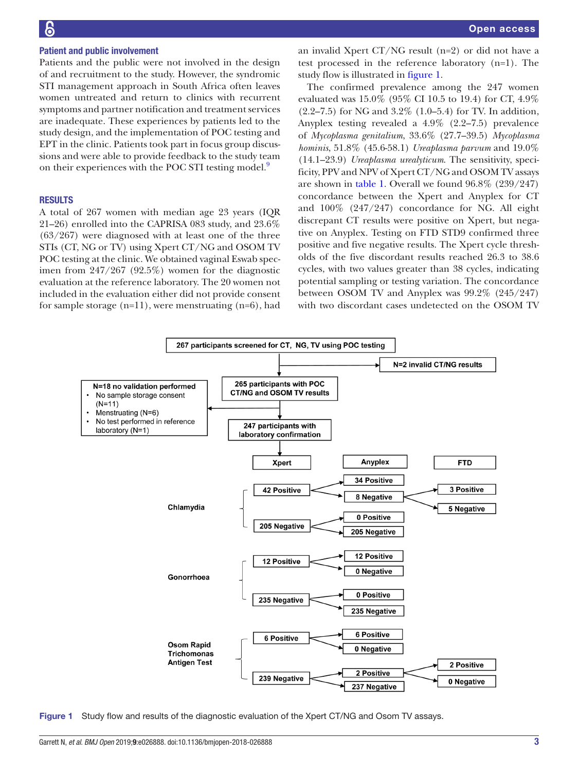## Patient and public involvement

Patients and the public were not involved in the design of and recruitment to the study. However, the syndromic STI management approach in South Africa often leaves women untreated and return to clinics with recurrent symptoms and partner notification and treatment services are inadequate. These experiences by patients led to the study design, and the implementation of POC testing and EPT in the clinic. Patients took part in focus group discussions and were able to provide feedback to the study team on their experiences with the POC STI testing model.<sup>9</sup>

#### **RESULTS**

A total of 267 women with median age 23 years (IQR 21–26) enrolled into the CAPRISA 083 study, and 23.6% (63/267) were diagnosed with at least one of the three STIs (CT, NG or TV) using Xpert CT/NG and OSOM TV POC testing at the clinic. We obtained vaginal Eswab specimen from 247/267 (92.5%) women for the diagnostic evaluation at the reference laboratory. The 20 women not included in the evaluation either did not provide consent for sample storage  $(n=11)$ , were menstruating  $(n=6)$ , had

an invalid Xpert CT/NG result  $(n=2)$  or did not have a test processed in the reference laboratory (n=1). The study flow is illustrated in [figure](#page-2-0) 1.

The confirmed prevalence among the 247 women evaluated was 15.0% (95% CI 10.5 to 19.4) for CT, 4.9% (2.2–7.5) for NG and 3.2% (1.0–5.4) for TV. In addition, Anyplex testing revealed a 4.9% (2.2–7.5) prevalence of *Mycoplasma genitalium*, 33.6% (27.7–39.5) *Mycoplasma hominis*, 51.8% (45.6-58.1) *Ureaplasma parvum* and 19.0% (14.1–23.9) *Ureaplasma urealyticum*. The sensitivity, specificity, PPV and NPV of Xpert CT/NG and OSOM TV assays are shown in [table](#page-3-0) 1. Overall we found 96.8% (239/247) concordance between the Xpert and Anyplex for CT and 100% (247/247) concordance for NG. All eight discrepant CT results were positive on Xpert, but negative on Anyplex. Testing on FTD STD9 confirmed three positive and five negative results. The Xpert cycle thresholds of the five discordant results reached 26.3 to 38.6 cycles, with two values greater than 38 cycles, indicating potential sampling or testing variation. The concordance between OSOM TV and Anyplex was 99.2% (245/247) with two discordant cases undetected on the OSOM TV



<span id="page-2-0"></span>Figure 1 Study flow and results of the diagnostic evaluation of the Xpert CT/NG and Osom TV assays.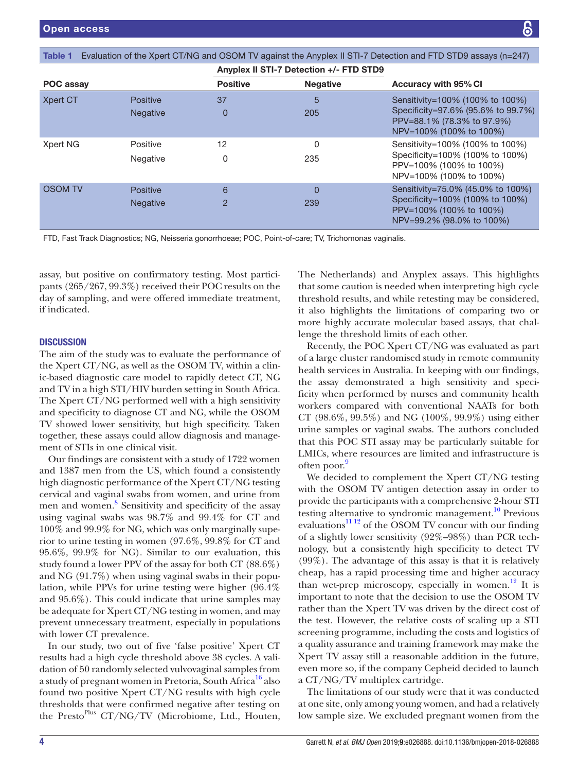<span id="page-3-0"></span>

| Evaluation of the Xpert CT/NG and OSOM TV against the Anyplex II STI-7 Detection and FTD STD9 assays (n=247)<br>Table 1 |                                    |                                         |                 |                                                                                                                                |
|-------------------------------------------------------------------------------------------------------------------------|------------------------------------|-----------------------------------------|-----------------|--------------------------------------------------------------------------------------------------------------------------------|
|                                                                                                                         |                                    | Anyplex II STI-7 Detection +/- FTD STD9 |                 |                                                                                                                                |
| POC assay                                                                                                               |                                    | <b>Positive</b>                         | <b>Negative</b> | <b>Accuracy with 95% CI</b>                                                                                                    |
| Xpert CT                                                                                                                | <b>Positive</b><br><b>Negative</b> | 37<br>0                                 | 5<br>205        | Sensitivity=100% (100% to 100%)<br>Specificity=97.6% (95.6% to 99.7%)<br>PPV=88.1% (78.3% to 97.9%)<br>NPV=100% (100% to 100%) |
| Xpert NG                                                                                                                | Positive<br>Negative               | 12<br>0                                 | 0<br>235        | Sensitivity=100% (100% to 100%)<br>Specificity=100% (100% to 100%)<br>PPV=100% (100% to 100%)<br>NPV=100% (100% to 100%)       |
| <b>OSOM TV</b>                                                                                                          | <b>Positive</b><br><b>Negative</b> | 6<br>$\overline{2}$                     | O<br>239        | Sensitivity=75.0% (45.0% to 100%)<br>Specificity=100% (100% to 100%)<br>PPV=100% (100% to 100%)<br>NPV=99.2% (98.0% to 100%)   |

FTD, Fast Track Diagnostics; NG, Neisseria gonorrhoeae; POC, Point-of-care; TV, Trichomonas vaginalis.

assay, but positive on confirmatory testing. Most participants (265/267, 99.3%) received their POC results on the day of sampling, and were offered immediate treatment, if indicated.

## **DISCUSSION**

The aim of the study was to evaluate the performance of the Xpert CT/NG, as well as the OSOM TV, within a clinic-based diagnostic care model to rapidly detect CT, NG and TV in a high STI/HIV burden setting in South Africa. The Xpert CT/NG performed well with a high sensitivity and specificity to diagnose CT and NG, while the OSOM TV showed lower sensitivity, but high specificity. Taken together, these assays could allow diagnosis and management of STIs in one clinical visit.

Our findings are consistent with a study of 1722 women and 1387 men from the US, which found a consistently high diagnostic performance of the Xpert CT/NG testing cervical and vaginal swabs from women, and urine from men and women.<sup>[8](#page-4-6)</sup> Sensitivity and specificity of the assay using vaginal swabs was 98.7% and 99.4% for CT and 100% and 99.9% for NG, which was only marginally superior to urine testing in women (97.6%, 99.8% for CT and 95.6%, 99.9% for NG). Similar to our evaluation, this study found a lower PPV of the assay for both CT (88.6%) and NG (91.7%) when using vaginal swabs in their population, while PPVs for urine testing were higher (96.4% and 95.6%). This could indicate that urine samples may be adequate for Xpert CT/NG testing in women, and may prevent unnecessary treatment, especially in populations with lower CT prevalence.

In our study, two out of five 'false positive' Xpert CT results had a high cycle threshold above 38 cycles. A validation of 50 randomly selected vulvovaginal samples from a study of pregnant women in Pretoria, South Africa<sup>16</sup> also found two positive Xpert CT/NG results with high cycle thresholds that were confirmed negative after testing on the Presto<sup>Plus</sup> CT/NG/TV (Microbiome, Ltd., Houten,

The Netherlands) and Anyplex assays. This highlights that some caution is needed when interpreting high cycle threshold results, and while retesting may be considered, it also highlights the limitations of comparing two or more highly accurate molecular based assays, that challenge the threshold limits of each other.

Recently, the POC Xpert CT/NG was evaluated as part of a large cluster randomised study in remote community health services in Australia. In keeping with our findings, the assay demonstrated a high sensitivity and specificity when performed by nurses and community health workers compared with conventional NAATs for both CT (98.6%, 99.5%) and NG (100%, 99.9%) using either urine samples or vaginal swabs. The authors concluded that this POC STI assay may be particularly suitable for LMICs, where resources are limited and infrastructure is often poor.<sup>[9](#page-4-11)</sup>

We decided to complement the Xpert CT/NG testing with the OSOM TV antigen detection assay in order to provide the participants with a comprehensive 2-hour STI testing alternative to syndromic management.<sup>10</sup> Previous evaluations $^{11}$ <sup>12</sup> of the OSOM TV concur with our finding of a slightly lower sensitivity (92%–98%) than PCR technology, but a consistently high specificity to detect TV (99%). The advantage of this assay is that it is relatively cheap, has a rapid processing time and higher accuracy than wet-prep microscopy, especially in women.<sup>12</sup> It is important to note that the decision to use the OSOM TV rather than the Xpert TV was driven by the direct cost of the test. However, the relative costs of scaling up a STI screening programme, including the costs and logistics of a quality assurance and training framework may make the Xpert TV assay still a reasonable addition in the future, even more so, if the company Cepheid decided to launch a CT/NG/TV multiplex cartridge.

The limitations of our study were that it was conducted at one site, only among young women, and had a relatively low sample size. We excluded pregnant women from the